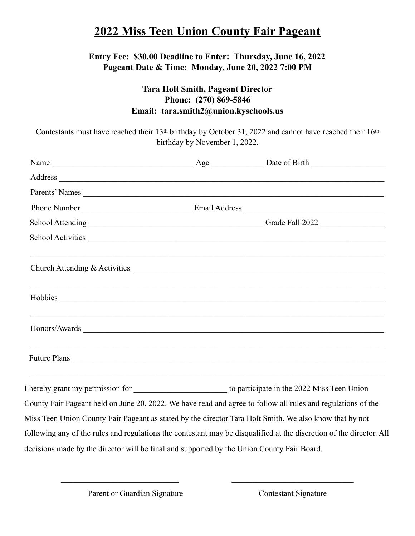### **2022 Miss Teen Union County Fair Pageant**

#### **Entry Fee: \$30.00 Deadline to Enter: Thursday, June 16, 2022 Pageant Date & Time: Monday, June 20, 2022 7:00 PM**

### **Tara Holt Smith, Pageant Director Phone: (270) 869-5846 Email: tara.smith2@union.kyschools.us**

Contestants must have reached their 13<sup>th</sup> birthday by October 31, 2022 and cannot have reached their 16<sup>th</sup> birthday by November 1, 2022.

| Parents' Names                                                                                                       |  |                                                                                                                      |
|----------------------------------------------------------------------------------------------------------------------|--|----------------------------------------------------------------------------------------------------------------------|
|                                                                                                                      |  |                                                                                                                      |
|                                                                                                                      |  |                                                                                                                      |
|                                                                                                                      |  | School Activities                                                                                                    |
|                                                                                                                      |  |                                                                                                                      |
|                                                                                                                      |  | ,我们也不能在这里的人,我们也不能在这里的人,我们也不能在这里的人,我们也不能在这里的人,我们也不能在这里的人,我们也不能在这里的人,我们也不能在这里的人,我们也                                    |
|                                                                                                                      |  |                                                                                                                      |
|                                                                                                                      |  |                                                                                                                      |
|                                                                                                                      |  | <u> 1989 - Johann Barbara, marka a shekara tsa 1989 - An tsa 1989 - An tsa 1989 - An tsa 1989 - An tsa 1989 - An</u> |
|                                                                                                                      |  | County Fair Pageant held on June 20, 2022. We have read and agree to follow all rules and regulations of the         |
| Miss Teen Union County Fair Pageant as stated by the director Tara Holt Smith. We also know that by not              |  |                                                                                                                      |
| following any of the rules and regulations the contestant may be disqualified at the discretion of the director. All |  |                                                                                                                      |
| decisions made by the director will be final and supported by the Union County Fair Board.                           |  |                                                                                                                      |

 $\mathcal{L}_\text{max}$  , and the contribution of the contribution of the contribution of the contribution of the contribution of the contribution of the contribution of the contribution of the contribution of the contribution of t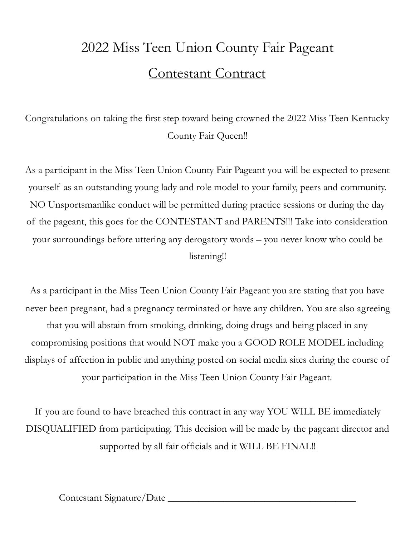## 2022 Miss Teen Union County Fair Pageant Contestant Contract

Congratulations on taking the first step toward being crowned the 2022 Miss Teen Kentucky County Fair Queen!!

As a participant in the Miss Teen Union County Fair Pageant you will be expected to present yourself as an outstanding young lady and role model to your family, peers and community. NO Unsportsmanlike conduct will be permitted during practice sessions or during the day of the pageant, this goes for the CONTESTANT and PARENTS!!! Take into consideration your surroundings before uttering any derogatory words – you never know who could be listening!!

As a participant in the Miss Teen Union County Fair Pageant you are stating that you have never been pregnant, had a pregnancy terminated or have any children. You are also agreeing that you will abstain from smoking, drinking, doing drugs and being placed in any compromising positions that would NOT make you a GOOD ROLE MODEL including displays of affection in public and anything posted on social media sites during the course of your participation in the Miss Teen Union County Fair Pageant.

If you are found to have breached this contract in any way YOU WILL BE immediately DISQUALIFIED from participating. This decision will be made by the pageant director and supported by all fair officials and it WILL BE FINAL!!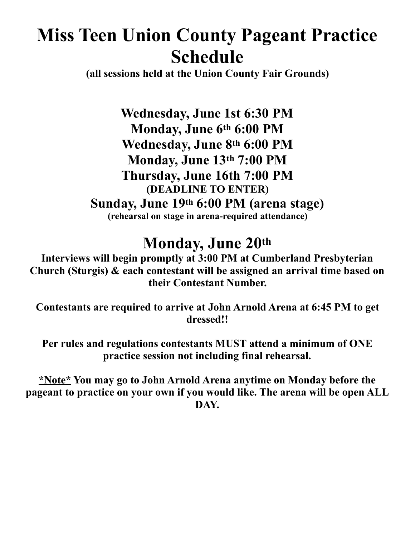# **Miss Teen Union County Pageant Practice Schedule**

**(all sessions held at the Union County Fair Grounds)** 

**Wednesday, June 1st 6:30 PM Monday, June 6th 6:00 PM Wednesday, June 8th 6:00 PM Monday, June 13th 7:00 PM Thursday, June 16th 7:00 PM (DEADLINE TO ENTER) Sunday, June 19th 6:00 PM (arena stage) (rehearsal on stage in arena-required attendance)** 

### **Monday, June 20th**

**Interviews will begin promptly at 3:00 PM at Cumberland Presbyterian Church (Sturgis) & each contestant will be assigned an arrival time based on their Contestant Number.** 

**Contestants are required to arrive at John Arnold Arena at 6:45 PM to get dressed!!** 

**Per rules and regulations contestants MUST attend a minimum of ONE practice session not including final rehearsal.** 

**\*Note\* You may go to John Arnold Arena anytime on Monday before the pageant to practice on your own if you would like. The arena will be open ALL DAY.**